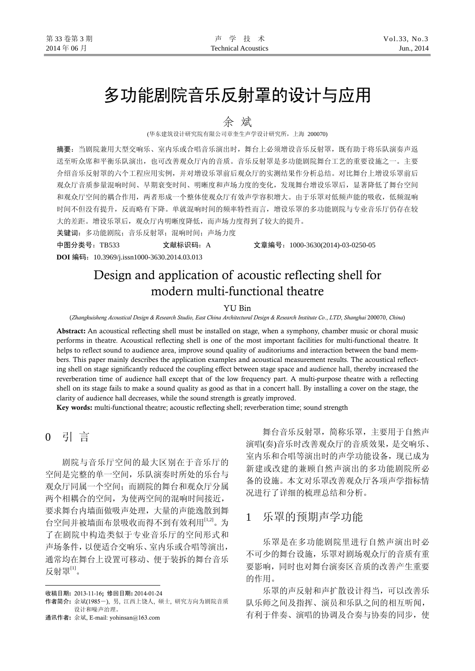# 多功能剧院音乐反射罩的设计与应用

余 斌

(华东建筑设计研究院有限公司章奎生声学设计研究所,上海 200070)

摘要: 当剧院兼用大型交响乐、室内乐或合唱音乐演出时, 舞台上必须增设音乐反射罩, 既有助于将乐队演奏声返 送至听众席和平衡乐队演出,也可改善观众厅内的音质。音乐反射罩是多功能剧院舞台工艺的重要设施之一。主要 介绍音乐反射罩的六个工程应用实例,并对增设乐罩前后观众厅的实测结果作分析总结。对比舞台上增设乐罩前后 观众厅音质参量混响时间、早期衰变时间、明晰度和声场力度的变化,发现舞台增设乐罩后,显著降低了舞台空间 和观众厅空间的耦合作用,两者形成一个整体使观众厅有效声学容积增大。由于乐罩对低频声能的吸收,低频混响 时间不但没有提升,反而略有下降。单就混响时间的频率特性而言,增设乐罩的多功能剧院与专业音乐厅仍存在较 大的差距。增设乐罩后,观众厅内明晰度降低,而声场力度得到了较大的提升。

关键词:多功能剧院;音乐反射罩;混响时间;声场力度

中图分类号:TB533 文献标识码:A 文章编号:1000-3630(2014)-03-0250-05 **DOI** 编码:10.3969/j.issn1000-3630.2014.03.013

# Design and application of acoustic reflecting shell for modern multi-functional theatre

#### YU Bin

(*Zhangkuisheng Acoustical Design & Research Studio, East China Architectural Design & Research Institute Co*., *LTD*, *Shanghai* 200070, *China*)

Abstract: An acoustical reflecting shell must be installed on stage, when a symphony, chamber music or choral music performs in theatre. Acoustical reflecting shell is one of the most important facilities for multi-functional theatre. It helps to reflect sound to audience area, improve sound quality of auditoriums and interaction between the band members. This paper mainly describes the application examples and acoustical measurement results. The acoustical reflecting shell on stage significantly reduced the coupling effect between stage space and audience hall, thereby increased the reverberation time of audience hall except that of the low frequency part. A multi-purpose theatre with a reflecting shell on its stage fails to make a sound quality as good as that in a concert hall. By installing a cover on the stage, the clarity of audience hall decreases, while the sound strength is greatly improved.

Key words: multi-functional theatre; acoustic reflecting shell; reverberation time; sound strength

# 0 引 言

 $\overline{a}$ 

剧院与音乐厅空间的最大区别在于音乐厅的 空间是完整的单一空间,乐队演奏时所处的乐台与 观众厅同属一个空间;而剧院的舞台和观众厅分属 两个相耦合的空间,为使两空间的混响时间接近, 要求舞台内墙面做吸声处理,大量的声能逸散到舞 台空间并被墙面布景吸收而得不到有效利用[1,2]。为 了在剧院中构造类似于专业音乐厅的空间形式和 声场条件,以便适合交响乐、室内乐或合唱等演出, 通常均在舞台上设置可移动、便于装拆的舞台音乐 反射罩 $^{\text{\tiny{[1]}}}$ 。

舞台音乐反射罩,简称乐罩,主要用于自然声 演唱(奏)音乐时改善观众厅的音质效果,是交响乐、 室内乐和合唱等演出时的声学功能设备,现已成为 新建或改建的兼顾自然声演出的多功能剧院所必 备的设施。本文对乐罩改善观众厅各项声学指标情 况进行了详细的梳理总结和分析。

### 1 乐罩的预期声学功能

乐罩是在多功能剧院里进行自然声演出时必 不可少的舞台设施,乐罩对剧场观众厅的音质有重 要影响,同时也对舞台演奏区音质的改善产生重要 的作用。

乐罩的声反射和声扩散设计得当,可以改善乐 队乐师之间及指挥、演员和乐队之间的相互听闻, 有利于伴奏、演唱的协调及合奏与协奏的同步,使

收稿日期: 2013-11-16; 修回日期: 2014-01-24

作者简介: 余斌(1985-), 男, 江西上饶人, 硕士, 研究方向为剧院音质 设计和噪声治理。

通讯作者: 余斌, E-mail: yohinsan@163.com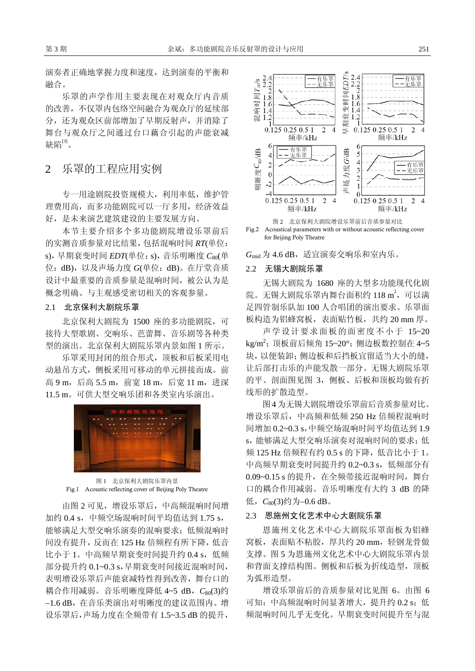演奏者正确地掌握力度和速度,达到演奏的平衡和 融合。

乐罩的声学作用主要表现在对观众厅内音质 的改善,不仅罩内包络空间融合为观众厅的延续部 分,还为观众区前部增加了早期反射声,并消除了 舞台与观众厅之间通过台口藕合引起的声能衰减 缺陷 $[3]$ 。

2 乐罩的工程应用实例

专一用途剧院投资规模大,利用率低,维护管 理费用高,而多功能剧院可以一厅多用,经济效益 好,是未来演艺建筑建设的主要发展方向。

本节主要介绍多个多功能剧院增设乐罩前后 的实测音质参量对比结果,包括混响时间 *RT*(单位: s),早期衰变时间 *EDT*(单位:s),音乐明晰度 *C*80(单 位:dB),以及声场力度 *G*(单位:dB)。在厅堂音质 设计中最重要的音质参量是混响时间,被公认为是 概念明确、与主观感受密切相关的客观参量。

#### 2.1 北京保利大剧院乐罩

北京保利大剧院为 1500 座的多功能剧院,可 接待大型歌剧、交响乐、芭蕾舞、音乐剧等各种类 型的演出。北京保利大剧院乐罩内景如图 1 所示。

乐罩采用封闭的组合形式,顶板和后板采用电 动悬吊方式,侧板采用可移动的单元拼接而成。前 高 9 m, 后高 5.5 m, 前宽 18 m, 后宽 11 m, 进深 11.5 m。可供大型交响乐团和各类室内乐演出。



图 1 北京保利大剧院乐罩内景 Fig.1 Acoustic reflecting cover of Beijing Poly Theatre

由图 2 可见,增设乐罩后,中高频混响时间增 加约 0.4 s,中频空场混响时间平均值达到 1.75 s, 能够满足大型交响乐演奏的混响要求;低频混响时 间没有提升,反而在 125 Hz 倍频程有所下降,低音 比小于 1。中高频早期衰变时间提升约 0.4 s, 低频 部分提升约 0.1~0.3 s,早期衰变时间接近混响时间, 表明增设乐罩后声能衰减特性得到改善,舞台口的 耦合作用减弱。音乐明晰度降低 4~5 dB,*C*80(3)约 −1.6 dB,在音乐类演出对明晰度的建议范围内。增 设乐罩后,声场力度在全频带有 1.5~3.5 dB 的提升,





 $G_{\rm mid}$  为 4.6 dB, 适宜演奏交响乐和室内乐。

#### 2.2 无锡大剧院乐罩

无锡大剧院为 1680 座的大型多功能现代化剧 院。无锡大剧院乐罩内舞台面积约 118 m2, 可以满 足四管制乐队加 100 人合唱团的演出要求。乐罩面 板构造为铝蜂窝板,表面贴竹板,共约 20 mm 厚。

声学设计要求面板的面密度不小于 15~20 kg/m<sup>2</sup>; 顶板前后倾角 15~20°; 侧边板数控制在 4~5 块,以便装卸;侧边板和后挡板宜留适当大小的缝, 让后部打击乐的声能发散一部分。无锡大剧院乐罩 的平、剖面图见图 3,侧板、后板和顶板均做有折 线形的扩散造型。

图4 为无锡大剧院增设乐罩前后音质参量对比。 增设乐罩后,中高频和低频 250 Hz 倍频程混响时 间增加 0.2~0.3 s,中频空场混响时间平均值达到 1.9 s,能够满足大型交响乐演奏对混响时间的要求;低 频 125 Hz 倍频程有约 0.5 s 的下降, 低音比小于 1。 中高频早期衰变时间提升约 0.2~0.3 s, 低频部分有 0.09~0.15 s 的提升, 在全频带接近混响时间, 舞台 口的耦合作用减弱。音乐明晰度有大约 3 dB 的降 低,*C*80(3)约为−0.6 dB。

#### 2.3 恩施州文化艺术中心大剧院乐罩

恩施州文化艺术中心大剧院乐罩面板为铝蜂 窝板,表面贴不粘胶,厚共约 20 mm,轻钢龙骨做 支撑。图 5 为恩施州文化艺术中心大剧院乐罩内景 和背面支撑结构图。侧板和后板为折线造型,顶板 为弧形造型。

增设乐罩前后的音质参量对比见图 6。由图 6 可知: 中高频混响时间显著增大, 提升约 0.2 s; 低 频混响时间几乎无变化。早期衰变时间提升至与混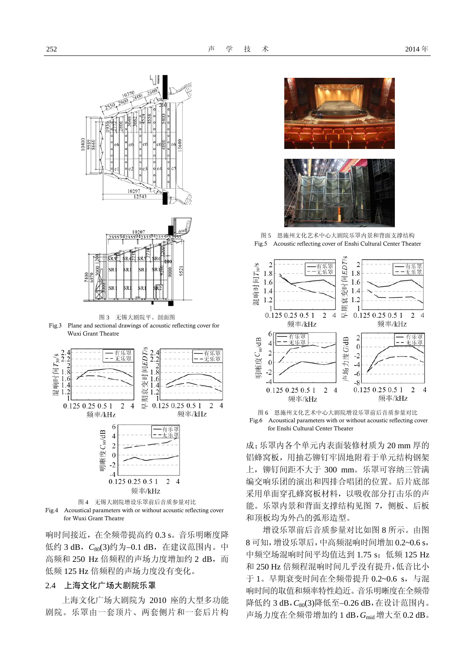



图 3 无锡大剧院平、剖面图 Fig.3 Plane and sectional drawings of acoustic reflecting cover for

Wuxi Grant Theatre



Fig.4 Acoustical parameters with or without acoustic reflecting cover for Wuxi Grant Theatre

响时间接近,在全频带提高约 0.3 s。音乐明晰度降 低约 3 dB,*C*80(3)约为−0.1 dB,在建议范围内。中 高频和 250 Hz 倍频程的声场力度增加约 2 dB, 而 低频 125 Hz 倍频程的声场力度没有变化。

#### 2.4 上海文化广场大剧院乐罩

上海文化广场大剧院为 2010 座的大型多功能 剧院。乐罩由一套顶片、两套侧片和一套后片构



图 5 恩施州文化艺术中心大剧院乐罩内景和背面支撑结构 Fig.5 Acoustic reflecting cover of Enshi Cultural Center Theater



图 6 恩施州文化艺术中心大剧院增设乐罩前后音质参量对比 Fig.6 Acoustical parameters with or without acoustic reflecting cover for Enshi Cultural Center Theater

成;乐罩内各个单元内表面装修材质为 20 mm 厚的 铝蜂窝板,用抽芯铆钉牢固地附着于单元结构钢架 上, 铆钉间距不大于 300 mm。乐罩可容纳三管满 编交响乐团的演出和四排合唱团的位置。后片底部 采用单面穿孔蜂窝板材料,以吸收部分打击乐的声 能。乐罩内景和背面支撑结构见图 7,侧板、后板 和顶板均为外凸的弧形造型。

增设乐罩前后音质参量对比如图 8 所示。由图 8 可知,增设乐罩后,中高频混响时间增加 0.2~0.6 s, 中频空场混响时间平均值达到 1.75 s: 低频 125 Hz 和 250 Hz 倍频程混响时间几乎没有提升,低音比小 于 1。早期衰变时间在全频带提升 0.2~0.6 s, 与混 响时间的取值和频率特性趋近。音乐明晰度在全频带 降低约 3 dB,  $C_{80}(3)$ 降低至−0.26 dB, 在设计范围内。 声场力度在全频带增加约 1 dB,*G*mid 增大至 0.2 dB。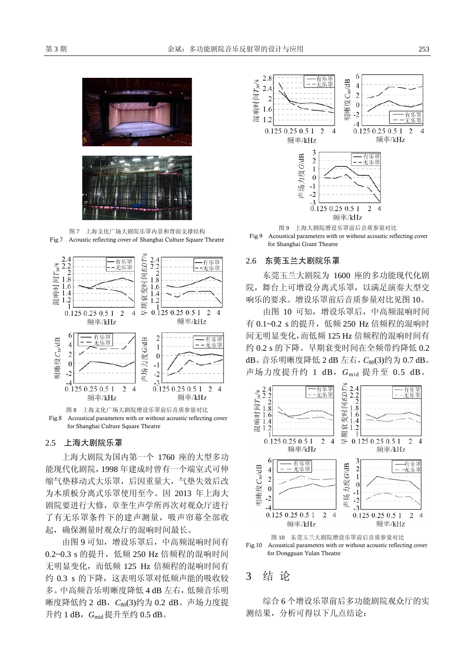

图 7 上海文化广场大剧院乐罩内景和背面支撑结构 Fig.7 Acoustic reflecting cover of Shanghai Culture Square Theatre



图 8 上海文化广场大剧院增设乐罩前后音质参量对比 Fig.8 Acoustical parameters with or without acoustic reflecting cover for Shanghai Culture Square Theatre

#### 2.5 上海大剧院乐罩

上海大剧院为国内第一个 1760 座的大型多功 能现代化剧院,1998 年建成时曾有一个端室式可伸 缩气垫移动式大乐罩,后因重量大,气垫失效后改 为木质板分离式乐罩使用至今。因 2013 年上海大 剧院要进行大修,章奎生声学所再次对观众厅进行 了有无乐罩条件下的建声测量,吸声帘幕全部收 起,确保测量时观众厅的混响时间最长。

由图 9 可知,增设乐罩后,中高频混响时间有 0.2~0.3 s 的提升, 低频 250 Hz 倍频程的混响时间 无明显变化,而低频 125 Hz 倍频程的混响时间有 约 0.3 s 的下降, 这表明乐罩对低频声能的吸收较 多。中高频音乐明晰度降低 4 dB 左右,低频音乐明 晰度降低约 2 dB,*C*80(3)约为 0.2 dB。声场力度提 升约 1 dB,*G*mid 提升至约 0.5 dB。



Fig.9 Acoustical parameters with or without acoustic reflecting cover for Shanghai Grant Theatre

#### 2.6 东莞玉兰大剧院乐罩

东莞玉兰大剧院为 1600 座的多功能现代化剧 院,舞台上可增设分离式乐罩,以满足演奏大型交 响乐的要求。增设乐罩前后音质参量对比见图 10。

由图 10 可知,增设乐罩后,中高频混响时间 有 0.1~0.2 s 的提升,低频 250 Hz 倍频程的混响时 间无明显变化,而低频 125 Hz 倍频程的混响时间有 约 0.2 s 的下降。早期衰变时间在全频带约降低 0.2 dB。音乐明晰度降低 2 dB 左右,  $C_{80}(3)$ 约为 0.7 dB。 声场力度提升约 1 dB,*G*mid 提升至 0.5 dB。





## 3 结 论

综合 6 个增设乐罩前后多功能剧院观众厅的实 测结果,分析可得以下几点结论: